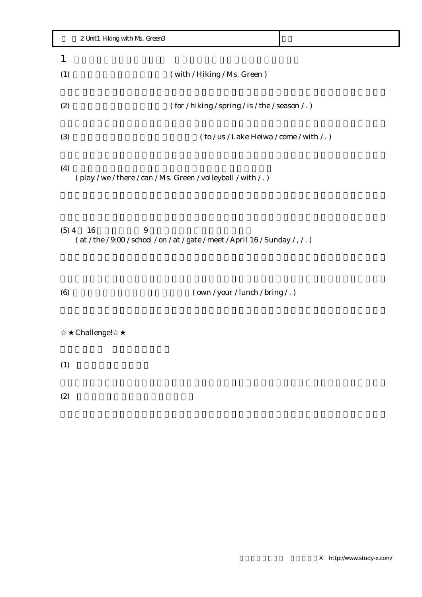|     | 2 Unit1 Hiking with Ms. Green3 |                                                                            |  |
|-----|--------------------------------|----------------------------------------------------------------------------|--|
|     |                                |                                                                            |  |
| (1) |                                | (with / Hiking / Ms. Green)                                                |  |
|     |                                |                                                                            |  |
| (2) |                                | $($ for $/$ hiking $/$ spring $/$ is $/$ the $/$ season $/$ . $)$          |  |
|     |                                |                                                                            |  |
| (3) |                                | $($ to $/$ us $/$ Lake Heiwa $/$ come $/$ with $/$ .)                      |  |
|     |                                |                                                                            |  |
| (4) |                                | $\frac{1}{2}$ (play / we / there / can / Ms. Green / volleyball / with /.) |  |

 $(5)$  4 16 9 ( at / the / 9:00 / school / on / at / gate / meet / April 16 / Sunday / , / . )

(6)  $(wn / your / lunch / bring / .)$ 

Challenge!

 $(1)$ 

 $(2)$